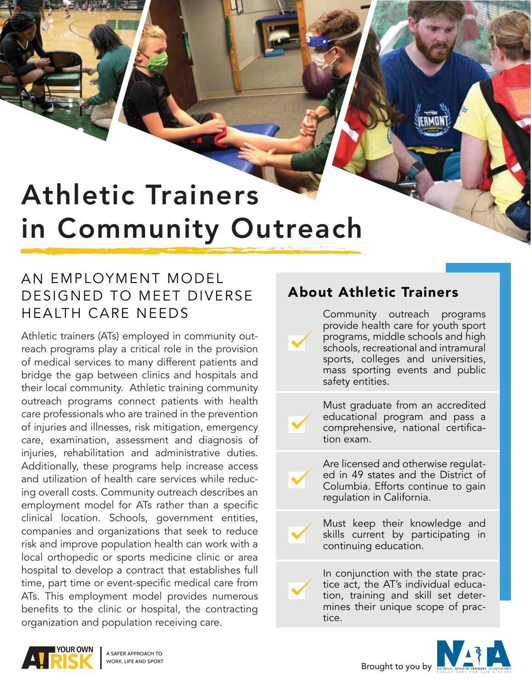# Athletic Trainers in Community Outreach

## AN EMPLOYMENT MODEL DESIGNED TO MEET DIVERSE HEALTH CARE NEEDS

Athletic trainers (ATs) employed in community outreach programs play a critical role in the provision of medical services to many different patients and bridge the gap between clinics and hospitals and their local community. Athletic training community outreach programs connect patients with health care professionals who are trained in the prevention of injuries and illnesses, risk mitigation, emergency care, examination, assessment and diagnosis of injuries, rehabilitation and administrative duties. Additionally, these programs help increase access and utilization of health care services while reducing overall costs. Community outreach describes an employment model for ATs rather than a specific clinical location. Schools, government entities, companies and organizations that seek to reduce risk and improve population health can work with a local orthopedic or sports medicine clinic or area hospital to develop a contract that establishes full time, part time or event-specific medical care from ATs. This employment model provides numerous benefits to the clinic or hospital, the contracting organization and population receiving care.

### About Athletic Trainers

Community outreach programs provide health care for youth sport programs, middle schools and high schools, recreational and intramural sports, colleges and universities, mass sporting events and public safety entities.

Must graduate from an accredited educational program and pass a comprehensive, national certification exam.

Are licensed and otherwise regulated in 49 states and the District of Columbia. Efforts continue to gain regulation in California.

Must keep their knowledge and skills current by participating in continuing education.

In conjunction with the state practice act, the AT's individual education, training and skill set determines their unique scope of practice.